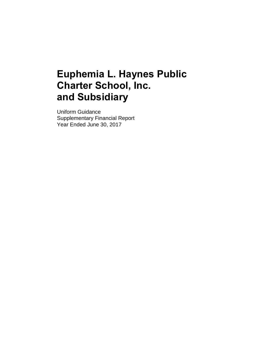Uniform Guidance Supplementary Financial Report Year Ended June 30, 2017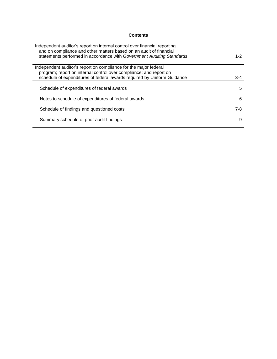# **Contents**

| Independent auditor's report on internal control over financial reporting<br>and on compliance and other matters based on an audit of financial<br>statements performed in accordance with Government Auditing Standards | $1 - 2$ |
|--------------------------------------------------------------------------------------------------------------------------------------------------------------------------------------------------------------------------|---------|
|                                                                                                                                                                                                                          |         |
| Independent auditor's report on compliance for the major federal                                                                                                                                                         |         |
| program; report on internal control over compliance; and report on                                                                                                                                                       |         |
| schedule of expenditures of federal awards required by Uniform Guidance                                                                                                                                                  | $3 - 4$ |
|                                                                                                                                                                                                                          |         |
| Schedule of expenditures of federal awards                                                                                                                                                                               | 5       |
|                                                                                                                                                                                                                          |         |
| Notes to schedule of expenditures of federal awards                                                                                                                                                                      | 6       |
|                                                                                                                                                                                                                          |         |
| Schedule of findings and questioned costs                                                                                                                                                                                | $7 - 8$ |
|                                                                                                                                                                                                                          |         |
| Summary schedule of prior audit findings                                                                                                                                                                                 | 9       |
|                                                                                                                                                                                                                          |         |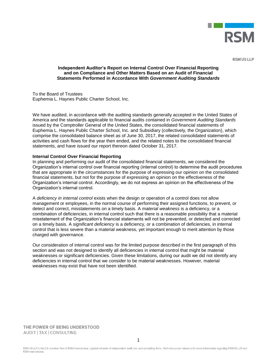

**RSM US LLP** 

#### **Independent Auditor's Report on Internal Control Over Financial Reporting and on Compliance and Other Matters Based on an Audit of Financial Statements Performed in Accordance With** *Government Auditing Standards*

To the Board of Trustees Euphemia L. Haynes Public Charter School, Inc.

We have audited, in accordance with the auditing standards generally accepted in the United States of America and the standards applicable to financial audits contained in *Government Auditing Standards* issued by the Comptroller General of the United States, the consolidated financial statements of Euphemia L. Haynes Public Charter School, Inc. and Subsidiary (collectively, the Organization), which comprise the consolidated balance sheet as of June 30, 2017, the related consolidated statements of activities and cash flows for the year then ended, and the related notes to the consolidated financial statements, and have issued our report thereon dated October 31, 2017.

#### **Internal Control Over Financial Reporting**

In planning and performing our audit of the consolidated financial statements, we considered the Organization's internal control over financial reporting (internal control) to determine the audit procedures that are appropriate in the circumstances for the purpose of expressing our opinion on the consolidated financial statements, but not for the purpose of expressing an opinion on the effectiveness of the Organization's internal control. Accordingly, we do not express an opinion on the effectiveness of the Organization's internal control.

A *deficiency in internal control* exists when the design or operation of a control does not allow management or employees, in the normal course of performing their assigned functions, to prevent, or detect and correct, misstatements on a timely basis. A *material weakness* is a deficiency, or a combination of deficiencies, in internal control such that there is a reasonable possibility that a material misstatement of the Organization's financial statements will not be prevented, or detected and corrected on a timely basis. A *significant deficiency* is a deficiency, or a combination of deficiencies, in internal control that is less severe than a material weakness, yet important enough to merit attention by those charged with governance.

Our consideration of internal control was for the limited purpose described in the first paragraph of this section and was not designed to identify all deficiencies in internal control that might be material weaknesses or significant deficiencies. Given these limitations, during our audit we did not identify any deficiencies in internal control that we consider to be material weaknesses. However, material weaknesses may exist that have not been identified.

THE POWER OF BEING UNDERSTOOD AUDIT | TAX | CONSULTING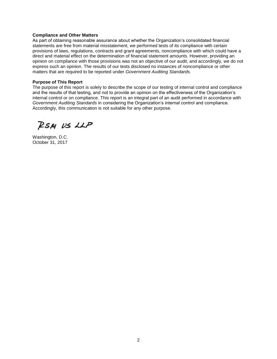#### **Compliance and Other Matters**

As part of obtaining reasonable assurance about whether the Organization's consolidated financial statements are free from material misstatement, we performed tests of its compliance with certain provisions of laws, regulations, contracts and grant agreements, noncompliance with which could have a direct and material effect on the determination of financial statement amounts. However, providing an opinion on compliance with those provisions was not an objective of our audit, and accordingly, we do not express such an opinion. The results of our tests disclosed no instances of noncompliance or other matters that are required to be reported under *Government Auditing Standards*.

## **Purpose of This Report**

The purpose of this report is solely to describe the scope of our testing of internal control and compliance and the results of that testing, and not to provide an opinion on the effectiveness of the Organization's internal control or on compliance. This report is an integral part of an audit performed in accordance with *Government Auditing Standards* in considering the Organization's internal control and compliance. Accordingly, this communication is not suitable for any other purpose.

RSM US LLP

Washington, D.C. October 31, 2017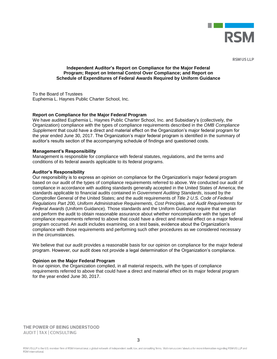

**RSM US LLP** 

### **Independent Auditor's Report on Compliance for the Major Federal Program; Report on Internal Control Over Compliance; and Report on Schedule of Expenditures of Federal Awards Required by Uniform Guidance**

To the Board of Trustees Euphemia L. Haynes Public Charter School, Inc.

#### **Report on Compliance for the Major Federal Program**

We have audited Euphemia L. Haynes Public Charter School, Inc. and Subsidiary's (collectively, the Organization) compliance with the types of compliance requirements described in the *OMB Compliance Supplement* that could have a direct and material effect on the Organization's major federal program for the year ended June 30, 2017. The Organization's major federal program is identified in the summary of auditor's results section of the accompanying schedule of findings and questioned costs.

#### **Management's Responsibility**

Management is responsible for compliance with federal statutes, regulations, and the terms and conditions of its federal awards applicable to its federal programs.

#### **Auditor's Responsibility**

Our responsibility is to express an opinion on compliance for the Organization's major federal program based on our audit of the types of compliance requirements referred to above. We conducted our audit of compliance in accordance with auditing standards generally accepted in the United States of America; the standards applicable to financial audits contained in *Government Auditing Standards*, issued by the Comptroller General of the United States; and the audit requirements of *Title 2 U.S. Code of Federal Regulations Part 200, Uniform Administrative Requirements, Cost Principles, and Audit Requirements for Federal Awards* (Uniform Guidance). Those standards and the Uniform Guidance require that we plan and perform the audit to obtain reasonable assurance about whether noncompliance with the types of compliance requirements referred to above that could have a direct and material effect on a major federal program occurred. An audit includes examining, on a test basis, evidence about the Organization's compliance with those requirements and performing such other procedures as we considered necessary in the circumstances.

We believe that our audit provides a reasonable basis for our opinion on compliance for the major federal program. However, our audit does not provide a legal determination of the Organization's compliance.

#### **Opinion on the Major Federal Program**

In our opinion, the Organization complied, in all material respects, with the types of compliance requirements referred to above that could have a direct and material effect on its major federal program for the year ended June 30, 2017.

THE POWER OF BEING UNDERSTOOD AUDIT | TAX | CONSULTING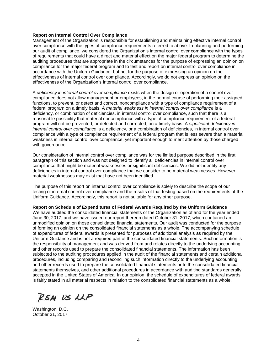#### **Report on Internal Control Over Compliance**

Management of the Organization is responsible for establishing and maintaining effective internal control over compliance with the types of compliance requirements referred to above. In planning and performing our audit of compliance, we considered the Organization's internal control over compliance with the types of requirements that could have a direct and material effect on the major federal program to determine the auditing procedures that are appropriate in the circumstances for the purpose of expressing an opinion on compliance for the major federal program and to test and report on internal control over compliance in accordance with the Uniform Guidance, but not for the purpose of expressing an opinion on the effectiveness of internal control over compliance. Accordingly, we do not express an opinion on the effectiveness of the Organization's internal control over compliance.

A *deficiency in internal control over compliance* exists when the design or operation of a control over compliance does not allow management or employees, in the normal course of performing their assigned functions, to prevent, or detect and correct, noncompliance with a type of compliance requirement of a federal program on a timely basis. A *material weakness in internal control over compliance* is a deficiency, or combination of deficiencies, in internal control over compliance, such that there is a reasonable possibility that material noncompliance with a type of compliance requirement of a federal program will not be prevented, or detected and corrected, on a timely basis. A *significant deficiency in internal control over compliance* is a deficiency, or a combination of deficiencies, in internal control over compliance with a type of compliance requirement of a federal program that is less severe than a material weakness in internal control over compliance, yet important enough to merit attention by those charged with governance.

Our consideration of internal control over compliance was for the limited purpose described in the first paragraph of this section and was not designed to identify all deficiencies in internal control over compliance that might be material weaknesses or significant deficiencies. We did not identify any deficiencies in internal control over compliance that we consider to be material weaknesses. However, material weaknesses may exist that have not been identified.

The purpose of this report on internal control over compliance is solely to describe the scope of our testing of internal control over compliance and the results of that testing based on the requirements of the Uniform Guidance. Accordingly, this report is not suitable for any other purpose.

#### **Report on Schedule of Expenditures of Federal Awards Required by the Uniform Guidance**

We have audited the consolidated financial statements of the Organization as of and for the year ended June 30, 2017, and we have issued our report thereon dated October 31, 2017, which contained an unmodified opinion on those consolidated financial statements. Our audit was conducted for the purpose of forming an opinion on the consolidated financial statements as a whole. The accompanying schedule of expenditures of federal awards is presented for purposes of additional analysis as required by the Uniform Guidance and is not a required part of the consolidated financial statements. Such information is the responsibility of management and was derived from and relates directly to the underlying accounting and other records used to prepare the consolidated financial statements. The information has been subjected to the auditing procedures applied in the audit of the financial statements and certain additional procedures, including comparing and reconciling such information directly to the underlying accounting and other records used to prepare the consolidated financial statements or to the consolidated financial statements themselves, and other additional procedures in accordance with auditing standards generally accepted in the United States of America. In our opinion, the schedule of expenditures of federal awards is fairly stated in all material respects in relation to the consolidated financial statements as a whole.

**RSM US LLP** 

Washington, D.C. October 31, 2017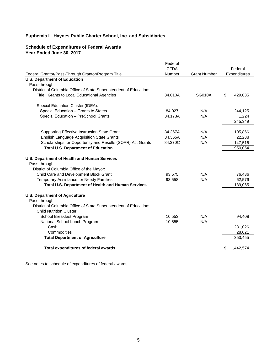### **Schedule of Expenditures of Federal Awards Year Ended June 30, 2017**

|                                                                                                      | Federal<br><b>CFDA</b> |                     | Federal       |
|------------------------------------------------------------------------------------------------------|------------------------|---------------------|---------------|
| Federal Grantor/Pass-Through Grantor/Program Title                                                   | Number                 | <b>Grant Number</b> | Expenditures  |
| <b>U.S. Department of Education</b>                                                                  |                        |                     |               |
| Pass-through:                                                                                        |                        |                     |               |
| District of Columbia Office of State Superintendent of Education:                                    |                        |                     |               |
| Title I Grants to Local Educational Agencies                                                         | 84.010A                | <b>SG010A</b>       | \$<br>429,035 |
| Special Education Cluster (IDEA):                                                                    |                        |                     |               |
| Special Education - Grants to States                                                                 | 84.027                 | N/A                 | 244,125       |
| Special Education - PreSchool Grants                                                                 | 84.173A                | N/A                 | 1,224         |
|                                                                                                      |                        |                     | 245,349       |
| Supporting Effective Instruction State Grant                                                         | 84.367A                | N/A                 | 105,866       |
| <b>English Language Acquisition State Grants</b>                                                     | 84.365A                | N/A                 | 22,288        |
| Scholarships for Opportunity and Results (SOAR) Act Grants                                           | 84.370C                | N/A                 | 147,516       |
| <b>Total U.S. Department of Education</b>                                                            |                        |                     | 950,054       |
| U.S. Department of Health and Human Services                                                         |                        |                     |               |
| Pass-through:                                                                                        |                        |                     |               |
| District of Columbia Office of the Mayor:                                                            |                        |                     |               |
| Child Care and Development Block Grant                                                               | 93.575                 | N/A                 | 76,486        |
| Temporary Assistance for Needy Families                                                              | 93.558                 | N/A                 | 62,579        |
| Total U.S. Department of Health and Human Services                                                   |                        |                     | 139,065       |
| <b>U.S. Department of Agriculture</b>                                                                |                        |                     |               |
| Pass-through:                                                                                        |                        |                     |               |
| District of Columbia Office of State Superintendent of Education:<br><b>Child Nutrition Cluster:</b> |                        |                     |               |
| School Breakfast Program                                                                             | 10.553                 | N/A                 | 94.408        |
| National School Lunch Program                                                                        | 10.555                 | N/A                 |               |
| Cash                                                                                                 |                        |                     | 231,026       |
| Commodities                                                                                          |                        |                     | 28,021        |
| <b>Total Department of Agriculture</b>                                                               |                        |                     | 353,455       |
| Total expenditures of federal awards                                                                 |                        |                     | 1,442,574     |
|                                                                                                      |                        |                     |               |

See notes to schedule of expenditures of federal awards.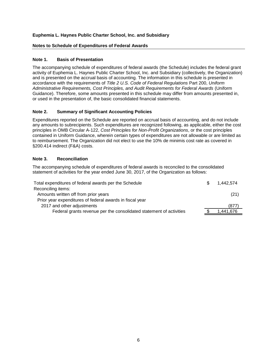## **Notes to Schedule of Expenditures of Federal Awards**

## **Note 1. Basis of Presentation**

The accompanying schedule of expenditures of federal awards (the Schedule) includes the federal grant activity of Euphemia L. Haynes Public Charter School, Inc. and Subsidiary (collectively, the Organization) and is presented on the accrual basis of accounting. The information in this schedule is presented in accordance with the requirements of *Title 2 U.S. Code of Federal Regulations* Part 200, *Uniform Administrative Requirements, Cost Principles, and Audit Requirements for Federal Awards* (Uniform Guidance). Therefore, some amounts presented in this schedule may differ from amounts presented in, or used in the presentation of, the basic consolidated financial statements.

## **Note 2. Summary of Significant Accounting Policies**

Expenditures reported on the Schedule are reported on accrual basis of accounting, and do not include any amounts to subrecipients. Such expenditures are recognized following, as applicable, either the cost principles in OMB Circular A-122, *Cost Principles for Non-Profit Organizations*, or the cost principles contained in Uniform Guidance, wherein certain types of expenditures are not allowable or are limited as to reimbursement. The Organization did not elect to use the 10% de minimis cost rate as covered in §200.414 indirect (F&A) costs.

## **Note 3. Reconciliation**

The accompanying schedule of expenditures of federal awards is reconciled to the consolidated statement of activities for the year ended June 30, 2017, of the Organization as follows:

| Total expenditures of federal awards per the Schedule               | 1.442.574 |
|---------------------------------------------------------------------|-----------|
| Reconciling items:                                                  |           |
| Amounts written off from prior years                                | (21)      |
| Prior year expenditures of federal awards in fiscal year            |           |
| 2017 and other adjustments                                          | (877)     |
| Federal grants revenue per the consolidated statement of activities | 1,441,676 |
|                                                                     |           |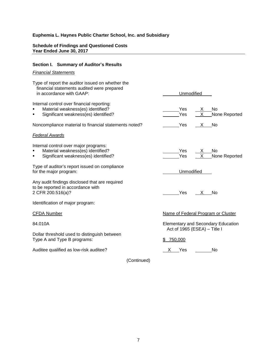#### **Schedule of Findings and Questioned Costs Year Ended June 30, 2017**

# **Section I. Summary of Auditor's Results**

## *Financial Statements*

| Type of report the auditor issued on whether the<br>financial statements audited were prepared<br>in accordance with GAAP: | Unmodified                                                                |
|----------------------------------------------------------------------------------------------------------------------------|---------------------------------------------------------------------------|
| Internal control over financial reporting:<br>Material weakness(es) identified?<br>Significant weakness(es) identified?    | Yes<br>No<br>X<br>X<br>Yes<br>None Reported                               |
| Noncompliance material to financial statements noted?                                                                      | Yes<br>No<br>X                                                            |
| <b>Federal Awards</b>                                                                                                      |                                                                           |
| Internal control over major programs:<br>Material weakness(es) identified?<br>Significant weakness(es) identified?         | Yes<br>No<br>х<br>Yes<br>None Reported                                    |
| Type of auditor's report issued on compliance<br>for the major program:                                                    | Unmodified                                                                |
| Any audit findings disclosed that are required<br>to be reported in accordance with<br>2 CFR 200.516(a)?                   | Yes<br>No.<br>X.                                                          |
| Identification of major program:                                                                                           |                                                                           |
| <b>CFDA Number</b>                                                                                                         | Name of Federal Program or Cluster                                        |
| 84.010A                                                                                                                    | <b>Elementary and Secondary Education</b><br>Act of 1965 (ESEA) - Title I |
| Dollar threshold used to distinguish between<br>Type A and Type B programs:                                                | 750,000                                                                   |
| Auditee qualified as low-risk auditee?                                                                                     | Yes<br>No<br>x.                                                           |

(Continued)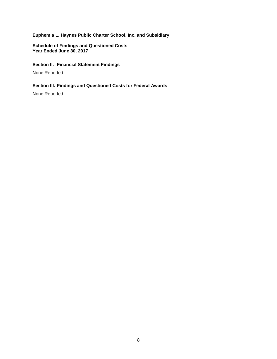#### **Schedule of Findings and Questioned Costs Year Ended June 30, 2017**

## **Section II. Financial Statement Findings**

None Reported.

# **Section III. Findings and Questioned Costs for Federal Awards**

None Reported.